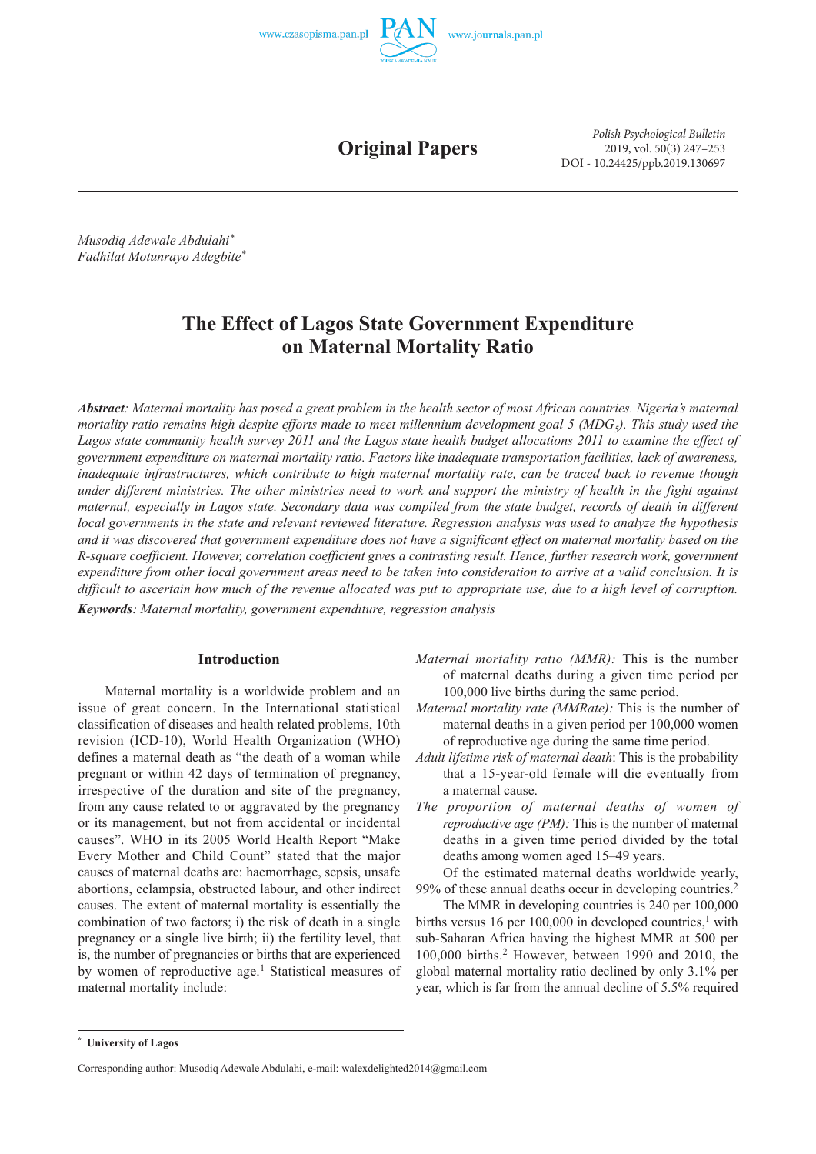



**Original Papers**

*Polish Psychological Bulletin* 2019, vol. 50(3) 247–253 DOI - 10.24425/ppb.2019.130697

*Musodiq Adewale Abdulahi\* Fadhilat Motunrayo Adegbite\**

# **The Effect of Lagos State Government Expenditure on Maternal Mortality Ratio**

*Abstract: Maternal mortality has posed a great problem in the health sector of most African countries. Nigeria's maternal mortality ratio remains high despite efforts made to meet millennium development goal 5 (MDG<sub>5</sub>). This study used the Lagos state community health survey 2011 and the Lagos state health budget allocations 2011 to examine the effect of government expenditure on maternal mortality ratio. Factors like inadequate transportation facilities, lack of awareness, inadequate infrastructures, which contribute to high maternal mortality rate, can be traced back to revenue though under different ministries. The other ministries need to work and support the ministry of health in the fight against maternal, especially in Lagos state. Secondary data was compiled from the state budget, records of death in different local governments in the state and relevant reviewed literature. Regression analysis was used to analyze the hypothesis and it was discovered that government expenditure does not have a significant effect on maternal mortality based on the R-square coefficient. However, correlation coefficient gives a contrasting result. Hence, further research work, government expenditure from other local government areas need to be taken into consideration to arrive at a valid conclusion. It is difficult to ascertain how much of the revenue allocated was put to appropriate use, due to a high level of corruption. Keywords: Maternal mortality, government expenditure, regression analysis*

# **Introduction**

Maternal mortality is a worldwide problem and an issue of great concern. In the International statistical classification of diseases and health related problems, 10th revision (ICD-10), World Health Organization (WHO) defines a maternal death as "the death of a woman while pregnant or within 42 days of termination of pregnancy, irrespective of the duration and site of the pregnancy, from any cause related to or aggravated by the pregnancy or its management, but not from accidental or incidental causes". WHO in its 2005 World Health Report "Make Every Mother and Child Count" stated that the major causes of maternal deaths are: haemorrhage, sepsis, unsafe abortions, eclampsia, obstructed labour, and other indirect causes. The extent of maternal mortality is essentially the combination of two factors; i) the risk of death in a single pregnancy or a single live birth; ii) the fertility level, that is, the number of pregnancies or births that are experienced by women of reproductive age.<sup>1</sup> Statistical measures of maternal mortality include:

- *Maternal mortality rate (MMRate):* This is the number of maternal deaths in a given period per 100,000 women of reproductive age during the same time period.
- *Adult lifetime risk of maternal death*: This is the probability that a 15-year-old female will die eventually from a maternal cause.
- *The proportion of maternal deaths of women of reproductive age (PM):* This is the number of maternal deaths in a given time period divided by the total deaths among women aged 15–49 years.
- Of the estimated maternal deaths worldwide yearly, 99% of these annual deaths occur in developing countries.2

The MMR in developing countries is 240 per 100,000 births versus 16 per 100,000 in developed countries,<sup>1</sup> with sub-Saharan Africa having the highest MMR at 500 per 100,000 births.2 However, between 1990 and 2010, the global maternal mortality ratio declined by only 3.1% per year, which is far from the annual decline of 5.5% required

*Maternal mortality ratio (MMR):* This is the number of maternal deaths during a given time period per 100,000 live births during the same period.

**<sup>\*</sup> University of Lagos**

Corresponding author: Musodiq Adewale Abdulahi, e-mail: walexdelighted2014@gmail.com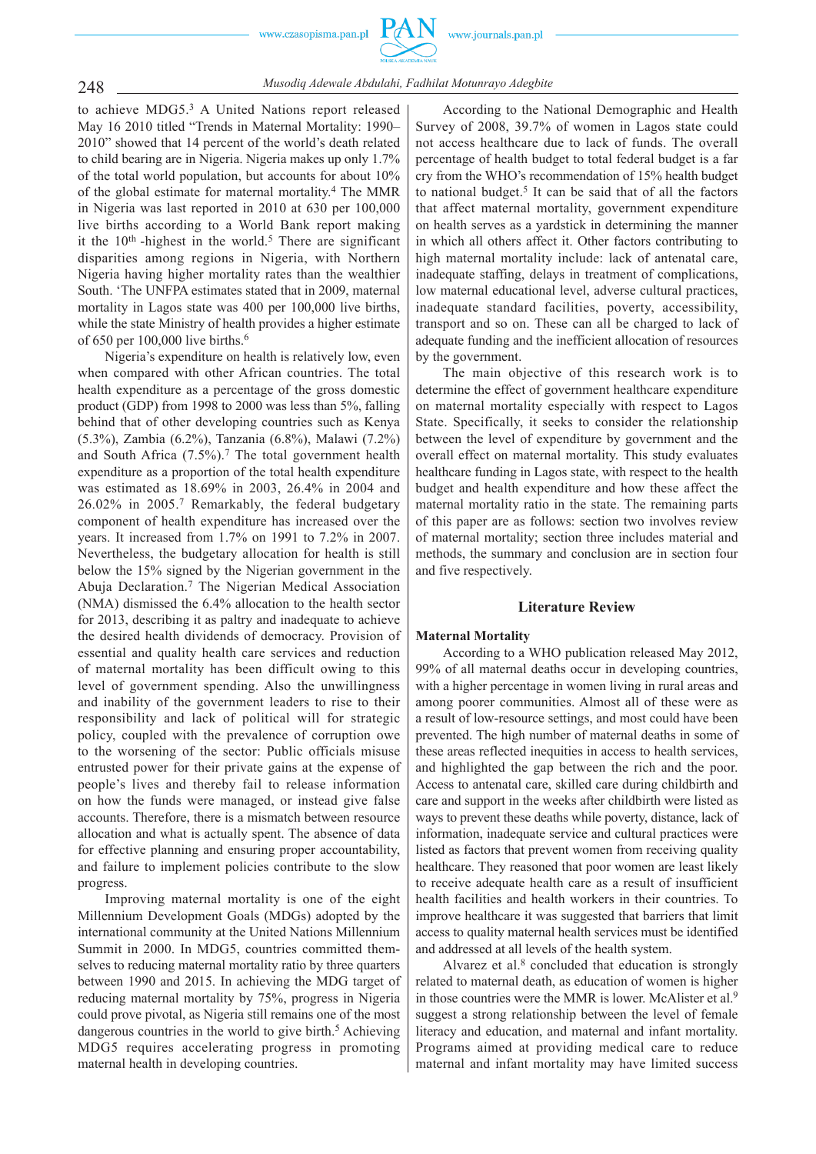www.czasopisma.pan.pl



# 248 *Musodiq Adewale Abdulahi, Fadhilat Motunrayo Adegbite*

to achieve MDG5.3 A United Nations report released May 16 2010 titled "Trends in Maternal Mortality: 1990– 2010" showed that 14 percent of the world's death related to child bearing are in Nigeria. Nigeria makes up only 1.7% of the total world population, but accounts for about 10% of the global estimate for maternal mortality.4 The MMR in Nigeria was last reported in 2010 at 630 per 100,000 live births according to a World Bank report making it the  $10<sup>th</sup>$ -highest in the world.<sup>5</sup> There are significant disparities among regions in Nigeria, with Northern Nigeria having higher mortality rates than the wealthier South. 'The UNFPA estimates stated that in 2009, maternal mortality in Lagos state was 400 per 100,000 live births, while the state Ministry of health provides a higher estimate of 650 per 100,000 live births.6

Nigeria's expenditure on health is relatively low, even when compared with other African countries. The total health expenditure as a percentage of the gross domestic product (GDP) from 1998 to 2000 was less than 5%, falling behind that of other developing countries such as Kenya (5.3%), Zambia (6.2%), Tanzania (6.8%), Malawi (7.2%) and South Africa  $(7.5\%)$ .<sup>7</sup> The total government health expenditure as a proportion of the total health expenditure was estimated as 18.69% in 2003, 26.4% in 2004 and 26.02% in 2005.7 Remarkably, the federal budgetary component of health expenditure has increased over the years. It increased from 1.7% on 1991 to 7.2% in 2007. Nevertheless, the budgetary allocation for health is still below the 15% signed by the Nigerian government in the Abuja Declaration.7 The Nigerian Medical Association (NMA) dismissed the 6.4% allocation to the health sector for 2013, describing it as paltry and inadequate to achieve the desired health dividends of democracy. Provision of essential and quality health care services and reduction of maternal mortality has been difficult owing to this level of government spending. Also the unwillingness and inability of the government leaders to rise to their responsibility and lack of political will for strategic policy, coupled with the prevalence of corruption owe to the worsening of the sector: Public officials misuse entrusted power for their private gains at the expense of people's lives and thereby fail to release information on how the funds were managed, or instead give false accounts. Therefore, there is a mismatch between resource allocation and what is actually spent. The absence of data for effective planning and ensuring proper accountability, and failure to implement policies contribute to the slow progress.

Improving maternal mortality is one of the eight Millennium Development Goals (MDGs) adopted by the international community at the United Nations Millennium Summit in 2000. In MDG5, countries committed themselves to reducing maternal mortality ratio by three quarters between 1990 and 2015. In achieving the MDG target of reducing maternal mortality by 75%, progress in Nigeria could prove pivotal, as Nigeria still remains one of the most dangerous countries in the world to give birth.<sup>5</sup> Achieving MDG5 requires accelerating progress in promoting maternal health in developing countries.

According to the National Demographic and Health Survey of 2008, 39.7% of women in Lagos state could not access healthcare due to lack of funds. The overall percentage of health budget to total federal budget is a far cry from the WHO's recommendation of 15% health budget to national budget.<sup>5</sup> It can be said that of all the factors that affect maternal mortality, government expenditure on health serves as a yardstick in determining the manner in which all others affect it. Other factors contributing to high maternal mortality include: lack of antenatal care, inadequate staffing, delays in treatment of complications, low maternal educational level, adverse cultural practices, inadequate standard facilities, poverty, accessibility, transport and so on. These can all be charged to lack of adequate funding and the inefficient allocation of resources by the government.

The main objective of this research work is to determine the effect of government healthcare expenditure on maternal mortality especially with respect to Lagos State. Specifically, it seeks to consider the relationship between the level of expenditure by government and the overall effect on maternal mortality. This study evaluates healthcare funding in Lagos state, with respect to the health budget and health expenditure and how these affect the maternal mortality ratio in the state. The remaining parts of this paper are as follows: section two involves review of maternal mortality; section three includes material and methods, the summary and conclusion are in section four and five respectively.

# **Literature Review**

# **Maternal Mortality**

According to a WHO publication released May 2012, 99% of all maternal deaths occur in developing countries, with a higher percentage in women living in rural areas and among poorer communities. Almost all of these were as a result of low-resource settings, and most could have been prevented. The high number of maternal deaths in some of these areas reflected inequities in access to health services, and highlighted the gap between the rich and the poor. Access to antenatal care, skilled care during childbirth and care and support in the weeks after childbirth were listed as ways to prevent these deaths while poverty, distance, lack of information, inadequate service and cultural practices were listed as factors that prevent women from receiving quality healthcare. They reasoned that poor women are least likely to receive adequate health care as a result of insufficient health facilities and health workers in their countries. To improve healthcare it was suggested that barriers that limit access to quality maternal health services must be identified and addressed at all levels of the health system.

Alvarez et al.<sup>8</sup> concluded that education is strongly related to maternal death, as education of women is higher in those countries were the MMR is lower. McAlister et al.<sup>9</sup> suggest a strong relationship between the level of female literacy and education, and maternal and infant mortality. Programs aimed at providing medical care to reduce maternal and infant mortality may have limited success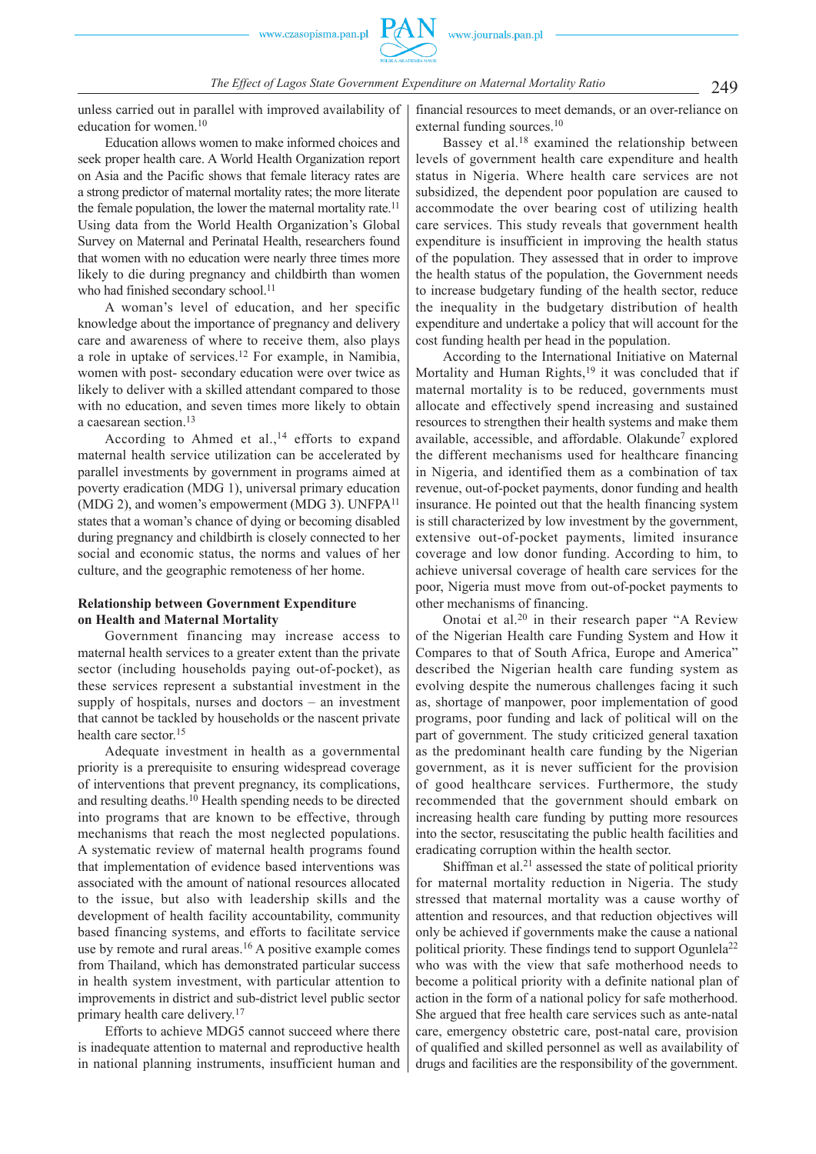unless carried out in parallel with improved availability of education for women.10

Education allows women to make informed choices and seek proper health care. A World Health Organization report on Asia and the Pacific shows that female literacy rates are a strong predictor of maternal mortality rates; the more literate the female population, the lower the maternal mortality rate.<sup>11</sup> Using data from the World Health Organization's Global Survey on Maternal and Perinatal Health, researchers found that women with no education were nearly three times more likely to die during pregnancy and childbirth than women who had finished secondary school.<sup>11</sup>

A woman's level of education, and her specific knowledge about the importance of pregnancy and delivery care and awareness of where to receive them, also plays a role in uptake of services.12 For example, in Namibia, women with post- secondary education were over twice as likely to deliver with a skilled attendant compared to those with no education, and seven times more likely to obtain a caesarean section.13

According to Ahmed et al., $^{14}$  efforts to expand maternal health service utilization can be accelerated by parallel investments by government in programs aimed at poverty eradication (MDG 1), universal primary education (MDG 2), and women's empowerment (MDG 3). UNFPA<sup>11</sup> states that a woman's chance of dying or becoming disabled during pregnancy and childbirth is closely connected to her social and economic status, the norms and values of her culture, and the geographic remoteness of her home.

# **Relationship between Government Expenditure on Health and Maternal Mortality**

Government financing may increase access to maternal health services to a greater extent than the private sector (including households paying out-of-pocket), as these services represent a substantial investment in the supply of hospitals, nurses and doctors – an investment that cannot be tackled by households or the nascent private health care sector.<sup>15</sup>

Adequate investment in health as a governmental priority is a prerequisite to ensuring widespread coverage of interventions that prevent pregnancy, its complications, and resulting deaths.10 Health spending needs to be directed into programs that are known to be effective, through mechanisms that reach the most neglected populations. A systematic review of maternal health programs found that implementation of evidence based interventions was associated with the amount of national resources allocated to the issue, but also with leadership skills and the development of health facility accountability, community based financing systems, and efforts to facilitate service use by remote and rural areas.<sup>16</sup> A positive example comes from Thailand, which has demonstrated particular success in health system investment, with particular attention to improvements in district and sub-district level public sector primary health care delivery.17

Efforts to achieve MDG5 cannot succeed where there is inadequate attention to maternal and reproductive health in national planning instruments, insufficient human and financial resources to meet demands, or an over-reliance on external funding sources.<sup>10</sup>

Bassey et al.<sup>18</sup> examined the relationship between levels of government health care expenditure and health status in Nigeria. Where health care services are not subsidized, the dependent poor population are caused to accommodate the over bearing cost of utilizing health care services. This study reveals that government health expenditure is insufficient in improving the health status of the population. They assessed that in order to improve the health status of the population, the Government needs to increase budgetary funding of the health sector, reduce the inequality in the budgetary distribution of health expenditure and undertake a policy that will account for the cost funding health per head in the population.

According to the International Initiative on Maternal Mortality and Human Rights,<sup>19</sup> it was concluded that if maternal mortality is to be reduced, governments must allocate and effectively spend increasing and sustained resources to strengthen their health systems and make them available, accessible, and affordable. Olakunde7 explored the different mechanisms used for healthcare financing in Nigeria, and identified them as a combination of tax revenue, out-of-pocket payments, donor funding and health insurance. He pointed out that the health financing system is still characterized by low investment by the government, extensive out-of-pocket payments, limited insurance coverage and low donor funding. According to him, to achieve universal coverage of health care services for the poor, Nigeria must move from out-of-pocket payments to other mechanisms of financing.

Onotai et al.20 in their research paper "A Review of the Nigerian Health care Funding System and How it Compares to that of South Africa, Europe and America" described the Nigerian health care funding system as evolving despite the numerous challenges facing it such as, shortage of manpower, poor implementation of good programs, poor funding and lack of political will on the part of government. The study criticized general taxation as the predominant health care funding by the Nigerian government, as it is never sufficient for the provision of good healthcare services. Furthermore, the study recommended that the government should embark on increasing health care funding by putting more resources into the sector, resuscitating the public health facilities and eradicating corruption within the health sector.

Shiffman et al.<sup>21</sup> assessed the state of political priority for maternal mortality reduction in Nigeria. The study stressed that maternal mortality was a cause worthy of attention and resources, and that reduction objectives will only be achieved if governments make the cause a national political priority. These findings tend to support Ogunlela<sup>22</sup> who was with the view that safe motherhood needs to become a political priority with a definite national plan of action in the form of a national policy for safe motherhood. She argued that free health care services such as ante-natal care, emergency obstetric care, post-natal care, provision of qualified and skilled personnel as well as availability of drugs and facilities are the responsibility of the government.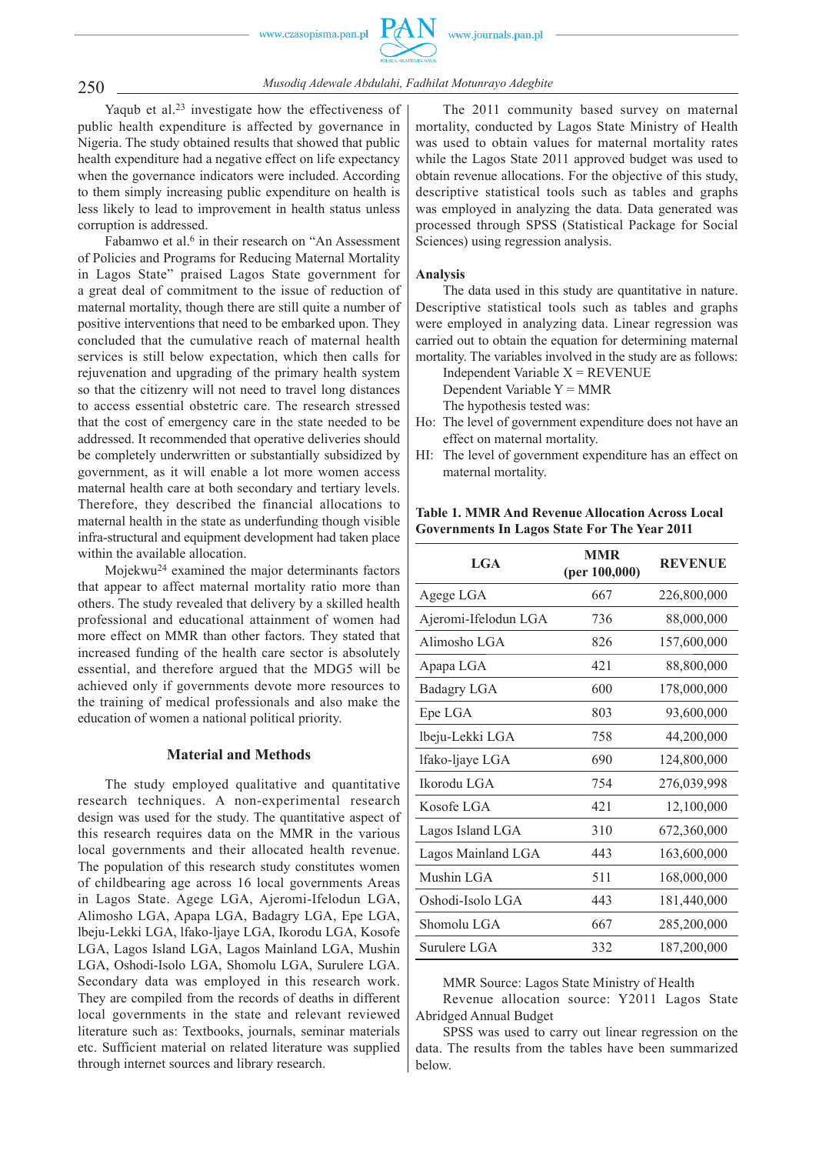www.czasopisma.pan.pl



250 *Musodiq Adewale Abdulahi, Fadhilat Motunrayo Adegbite*

Yaqub et al.23 investigate how the effectiveness of public health expenditure is affected by governance in Nigeria. The study obtained results that showed that public health expenditure had a negative effect on life expectancy when the governance indicators were included. According to them simply increasing public expenditure on health is less likely to lead to improvement in health status unless corruption is addressed.

Fabamwo et al.<sup>6</sup> in their research on "An Assessment of Policies and Programs for Reducing Maternal Mortality in Lagos State" praised Lagos State government for a great deal of commitment to the issue of reduction of maternal mortality, though there are still quite a number of positive interventions that need to be embarked upon. They concluded that the cumulative reach of maternal health services is still below expectation, which then calls for rejuvenation and upgrading of the primary health system so that the citizenry will not need to travel long distances to access essential obstetric care. The research stressed that the cost of emergency care in the state needed to be addressed. It recommended that operative deliveries should be completely underwritten or substantially subsidized by government, as it will enable a lot more women access maternal health care at both secondary and tertiary levels. Therefore, they described the financial allocations to maternal health in the state as underfunding though visible infra-structural and equipment development had taken place within the available allocation.

Mojekwu24 examined the major determinants factors that appear to affect maternal mortality ratio more than others. The study revealed that delivery by a skilled health professional and educational attainment of women had more effect on MMR than other factors. They stated that increased funding of the health care sector is absolutely essential, and therefore argued that the MDG5 will be achieved only if governments devote more resources to the training of medical professionals and also make the education of women a national political priority.

# **Material and Methods**

The study employed qualitative and quantitative research techniques. A non-experimental research design was used for the study. The quantitative aspect of this research requires data on the MMR in the various local governments and their allocated health revenue. The population of this research study constitutes women of childbearing age across 16 local governments Areas in Lagos State. Agege LGA, Ajeromi-Ifelodun LGA, Alimosho LGA, Apapa LGA, Badagry LGA, Epe LGA, lbeju-Lekki LGA, lfako-ljaye LGA, Ikorodu LGA, Kosofe LGA, Lagos Island LGA, Lagos Mainland LGA, Mushin LGA, Oshodi-Isolo LGA, Shomolu LGA, Surulere LGA. Secondary data was employed in this research work. They are compiled from the records of deaths in different local governments in the state and relevant reviewed literature such as: Textbooks, journals, seminar materials etc. Sufficient material on related literature was supplied through internet sources and library research.

The 2011 community based survey on maternal mortality, conducted by Lagos State Ministry of Health was used to obtain values for maternal mortality rates while the Lagos State 2011 approved budget was used to obtain revenue allocations. For the objective of this study, descriptive statistical tools such as tables and graphs was employed in analyzing the data. Data generated was processed through SPSS (Statistical Package for Social Sciences) using regression analysis.

### **Analysis**

The data used in this study are quantitative in nature. Descriptive statistical tools such as tables and graphs were employed in analyzing data. Linear regression was carried out to obtain the equation for determining maternal mortality. The variables involved in the study are as follows:

Independent Variable  $X = REVENUE$ Dependent Variable Y = MMR The hypothesis tested was:

- Ho: The level of government expenditure does not have an effect on maternal mortality.
- HI: The level of government expenditure has an effect on maternal mortality.

# **Table 1. MMR And Revenue Allocation Across Local Governments In Lagos State For The Year 2011**

| <b>MMR</b><br>(per 100,000) | <b>REVENUE</b> |
|-----------------------------|----------------|
| 667                         | 226,800,000    |
| 736                         | 88,000,000     |
| 826                         | 157,600,000    |
| 421                         | 88,800,000     |
| 600                         | 178,000,000    |
| 803                         | 93,600,000     |
| 758                         | 44,200,000     |
| 690                         | 124,800,000    |
| 754                         | 276,039,998    |
| 421                         | 12,100,000     |
| 310                         | 672,360,000    |
| 443                         | 163,600,000    |
| 511                         | 168,000,000    |
| 443                         | 181,440,000    |
| 667                         | 285,200,000    |
| 332                         | 187,200,000    |
|                             |                |

MMR Source: Lagos State Ministry of Health

Revenue allocation source: Y2011 Lagos State Abridged Annual Budget

SPSS was used to carry out linear regression on the data. The results from the tables have been summarized below.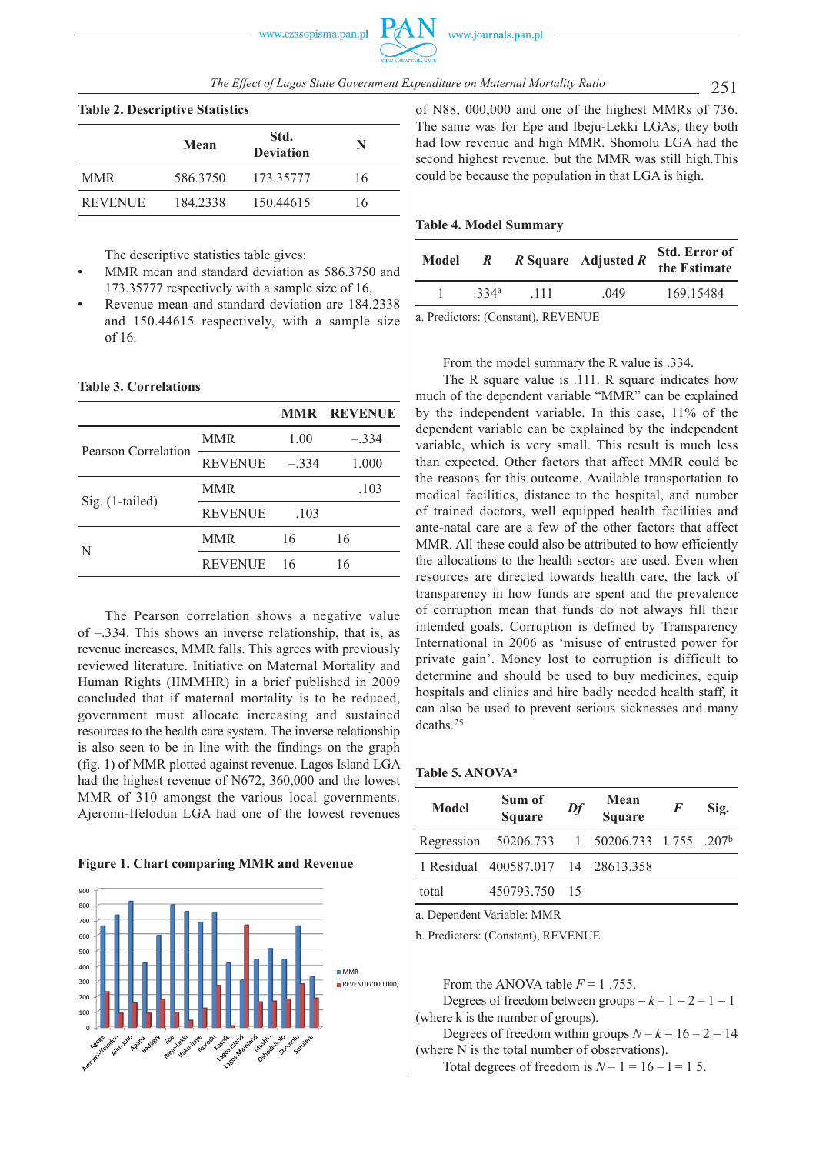| $20010 = 000000$ |          |                          |    |  |
|------------------|----------|--------------------------|----|--|
|                  | Mean     | Std.<br><b>Deviation</b> | N  |  |
| <b>MMR</b>       | 586.3750 | 173.35777                | 16 |  |
| <b>REVENUE</b>   | 184.2338 | 150.44615                | 16 |  |

**Table 2. Descriptive Statistics**

The descriptive statistics table gives:

- MMR mean and standard deviation as 586.3750 and 173.35777 respectively with a sample size of 16,
- Revenue mean and standard deviation are 184.2338 and 150.44615 respectively, with a sample size of 16.

# **Table 3. Correlations**

|                     |                |         | <b>MMR REVENUE</b> |
|---------------------|----------------|---------|--------------------|
| Pearson Correlation | <b>MMR</b>     | 1.00    | $-.334$            |
|                     | <b>REVENUE</b> | $-.334$ | 1.000              |
| Sig. (1-tailed)     | MMR            |         | .103               |
|                     | <b>REVENUE</b> | .103    |                    |
| N                   | MMR            | 16      | 16                 |
|                     | <b>REVENUE</b> | 16      | 16                 |
|                     |                |         |                    |

The Pearson correlation shows a negative value of –.334. This shows an inverse relationship, that is, as revenue increases, MMR falls. This agrees with previously reviewed literature. Initiative on Maternal Mortality and Human Rights (IIMMHR) in a brief published in 2009 concluded that if maternal mortality is to be reduced, government must allocate increasing and sustained resources to the health care system. The inverse relationship is also seen to be in line with the findings on the graph (fig. 1) of MMR plotted against revenue. Lagos Island LGA had the highest revenue of N672, 360,000 and the lowest MMR of 310 amongst the various local governments. Ajeromi-Ifelodun LGA had one of the lowest revenues

# **Figure 1. Chart comparing MMR and Revenue**



of N88, 000,000 and one of the highest MMRs of 736. The same was for Epe and Ibeju-Lekki LGAs; they both had low revenue and high MMR. Shomolu LGA had the second highest revenue, but the MMR was still high.This could be because the population in that LGA is high.

### **Table 4. Model Summary**

| Model                                                                                                                                                                          | $\mathbb{R}$     |      | $R$ Square Adjusted $R$ | Std. Error of<br>the Estimate |  |
|--------------------------------------------------------------------------------------------------------------------------------------------------------------------------------|------------------|------|-------------------------|-------------------------------|--|
|                                                                                                                                                                                | 334 <sup>a</sup> | -111 | 049                     | 169.15484                     |  |
| $\ldots$ Decay is a second of $\mathbf{D}$ D $\mathbf{D}$ $\mathbf{D}$ $\mathbf{D}$ $\mathbf{D}$ $\mathbf{D}$ $\mathbf{D}$ $\mathbf{D}$ $\mathbf{D}$ $\mathbf{D}$ $\mathbf{D}$ |                  |      |                         |                               |  |

a. Predictors: (Constant), REVENUE

From the model summary the R value is .334.

The R square value is .111. R square indicates how much of the dependent variable "MMR" can be explained by the independent variable. In this case, 11% of the dependent variable can be explained by the independent variable, which is very small. This result is much less than expected. Other factors that affect MMR could be the reasons for this outcome. Available transportation to medical facilities, distance to the hospital, and number of trained doctors, well equipped health facilities and ante-natal care are a few of the other factors that affect MMR. All these could also be attributed to how efficiently the allocations to the health sectors are used. Even when resources are directed towards health care, the lack of transparency in how funds are spent and the prevalence of corruption mean that funds do not always fill their intended goals. Corruption is defined by Transparency International in 2006 as 'misuse of entrusted power for private gain'. Money lost to corruption is difficult to determine and should be used to buy medicines, equip hospitals and clinics and hire badly needed health staff, it can also be used to prevent serious sicknesses and many deaths.25

# **Table 5. ANOVAa**

| Model | Sum of<br><b>Square</b>                      | Df | Mean<br><b>Square</b> | F | Sig. |
|-------|----------------------------------------------|----|-----------------------|---|------|
|       | Regression 50206.733 1 50206.733 1.755 .207b |    |                       |   |      |
|       | 1 Residual 400587.017 14 28613.358           |    |                       |   |      |
| total | 450793.750 15                                |    |                       |   |      |

a. Dependent Variable: MMR

b. Predictors: (Constant), REVENUE

From the ANOVA table  $F = 1$ .755. Degrees of freedom between groups  $=k-1=2-1=1$ (where k is the number of groups).

Degrees of freedom within groups  $N - k = 16 - 2 = 14$ (where N is the total number of observations).

Total degrees of freedom is  $N - 1 = 16 - 1 = 15$ .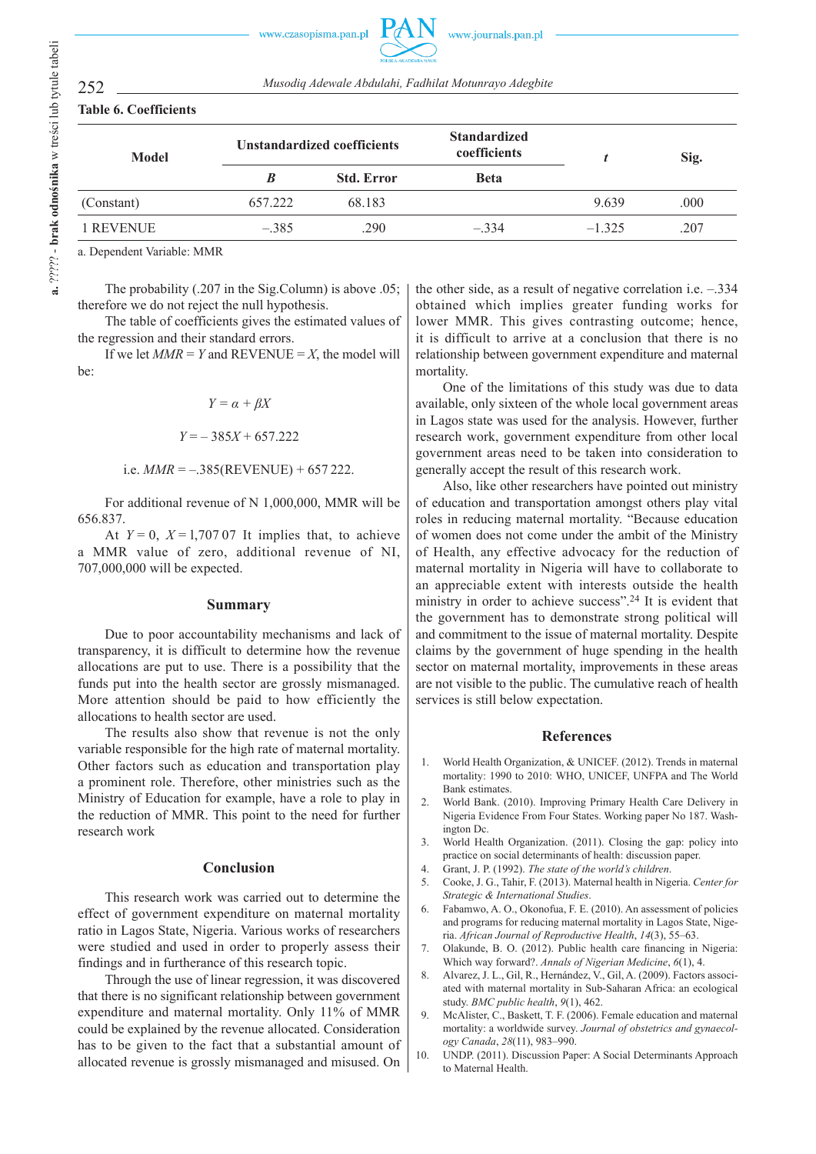| <b>Model</b> | <b>Unstandardized coefficients</b> |                   | <b>Standardized</b><br>coefficients |          | Sig. |  |
|--------------|------------------------------------|-------------------|-------------------------------------|----------|------|--|
|              | B                                  | <b>Std. Error</b> | <b>Beta</b>                         |          |      |  |
| (Constant)   | 657.222                            | 68.183            |                                     | 9.639    | .000 |  |
| 1 REVENUE    | $-.385$                            | .290              | $-334$                              | $-1,325$ | .207 |  |

a. Dependent Variable: MMR

The probability (.207 in the Sig.Column) is above .05; therefore we do not reject the null hypothesis.

The table of coefficients gives the estimated values of the regression and their standard errors.

If we let  $MMR = Y$  and REVENUE = *X*, the model will be:

$$
Y = \alpha + \beta X
$$

$$
Y = -385X + 657.222
$$

i.e. 
$$
MMR = -.385(REVENUE) + 657222
$$
.

For additional revenue of N 1,000,000, MMR will be 656.837.

At  $Y = 0$ ,  $X = 1,70707$  It implies that, to achieve a MMR value of zero, additional revenue of NI, 707,000,000 will be expected.

# **Summary**

Due to poor accountability mechanisms and lack of transparency, it is difficult to determine how the revenue allocations are put to use. There is a possibility that the funds put into the health sector are grossly mismanaged. More attention should be paid to how efficiently the allocations to health sector are used.

The results also show that revenue is not the only variable responsible for the high rate of maternal mortality. Other factors such as education and transportation play a prominent role. Therefore, other ministries such as the Ministry of Education for example, have a role to play in the reduction of MMR. This point to the need for further research work

# **Conclusion**

This research work was carried out to determine the effect of government expenditure on maternal mortality ratio in Lagos State, Nigeria. Various works of researchers were studied and used in order to properly assess their findings and in furtherance of this research topic.

Through the use of linear regression, it was discovered that there is no significant relationship between government expenditure and maternal mortality. Only 11% of MMR could be explained by the revenue allocated. Consideration has to be given to the fact that a substantial amount of allocated revenue is grossly mismanaged and misused. On the other side, as a result of negative correlation i.e. –.334 obtained which implies greater funding works for lower MMR. This gives contrasting outcome; hence, it is difficult to arrive at a conclusion that there is no relationship between government expenditure and maternal mortality.

One of the limitations of this study was due to data available, only sixteen of the whole local government areas in Lagos state was used for the analysis. However, further research work, government expenditure from other local government areas need to be taken into consideration to generally accept the result of this research work.

Also, like other researchers have pointed out ministry of education and transportation amongst others play vital roles in reducing maternal mortality. "Because education of women does not come under the ambit of the Ministry of Health, any effective advocacy for the reduction of maternal mortality in Nigeria will have to collaborate to an appreciable extent with interests outside the health ministry in order to achieve success".24 It is evident that the government has to demonstrate strong political will and commitment to the issue of maternal mortality. Despite claims by the government of huge spending in the health sector on maternal mortality, improvements in these areas are not visible to the public. The cumulative reach of health services is still below expectation.

# **References**

- 1. World Health Organization, & UNICEF. (2012). Trends in maternal mortality: 1990 to 2010: WHO, UNICEF, UNFPA and The World Bank estimates.
- 2. World Bank. (2010). Improving Primary Health Care Delivery in Nigeria Evidence From Four States. Working paper No 187. Washington Dc.
- 3. World Health Organization. (2011). Closing the gap: policy into practice on social determinants of health: discussion paper.
- 4. Grant, J. P. (1992). *The state of the world's children*.
- 5. Cooke, J. G., Tahir, F. (2013). Maternal health in Nigeria. *Center for Strategic & International Studies*.
- 6. Fabamwo, A. O., Okonofua, F. E. (2010). An assessment of policies and programs for reducing maternal mortality in Lagos State, Nigeria. *African Journal of Reproductive Health*, *14*(3), 55–63.
- 7. Olakunde, B. O. (2012). Public health care financing in Nigeria: Which way forward?. *Annals of Nigerian Medicine*, *6*(1), 4.
- 8. Alvarez, J. L., Gil, R., Hernández, V., Gil, A. (2009). Factors associated with maternal mortality in Sub-Saharan Africa: an ecological study. *BMC public health*, *9*(1), 462.
- 9. McAlister, C., Baskett, T. F. (2006). Female education and maternal mortality: a worldwide survey. *Journal of obstetrics and gynaecology Canada*, *28*(11), 983–990.
- 10. UNDP. (2011). Discussion Paper: A Social Determinants Approach to Maternal Health.